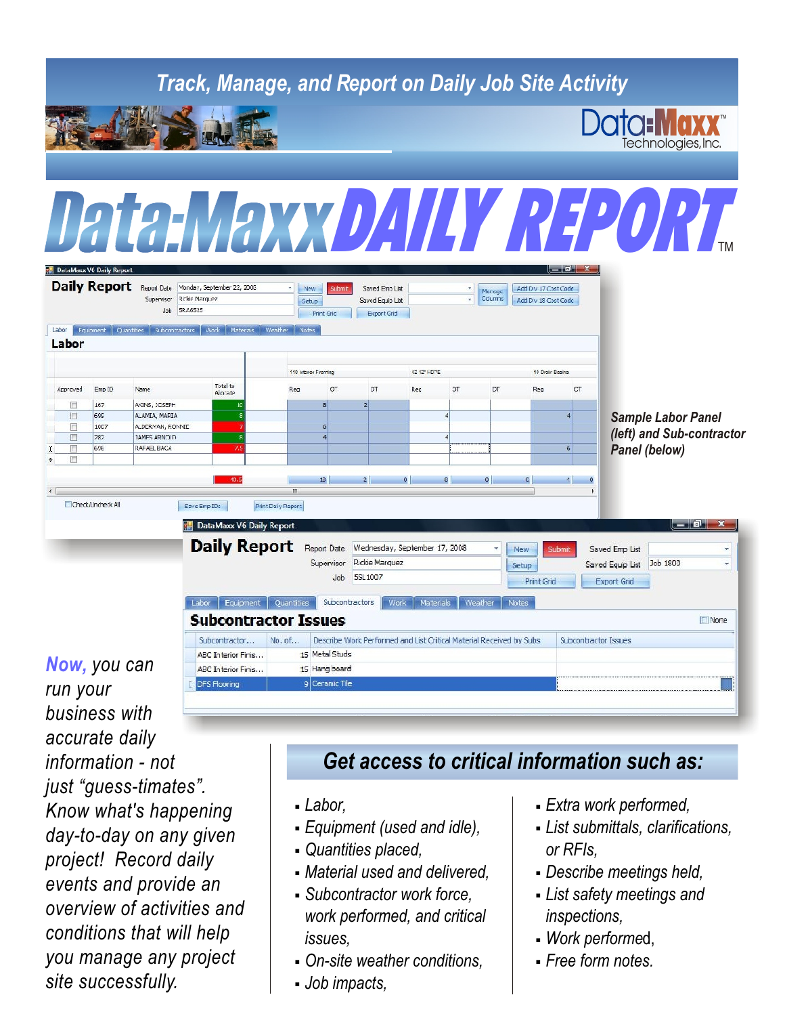## *Track, Manage, and Report on Daily Job Site Activity* TM Technologies,Inc. Data:Maxx*DAILY REPORT*TMDataMaxx VG Daily Report Daily Report Report Monday, September 22, 2006 New Submt Saved Emp List Add Dv 17 Cost Code Marage Supervisor Rickie Marquez Setup Saved Equip List Add Dv 18 Cost Code Job 5RA6525 Print Grid Export Grid Ebor Fquinment Quantities Subcontractors Mock Ma Labor 02 12' HDPE 110 Interior Framing 10 Drain Basine Total to<br>Alorate Approved Emp ID Name Reg  $\sigma$ DT Rec ОТ DT Reg **CT** m 167 AGNS, JCSEPH 699 A AMIA, MARIA *Sample Labor Panel* ALDERMAN, RONNIE 1007 *(left) and Sub-contractor* TAMES ARNOLD 282 RAFAEL BACA 69€ *Panel (below)*  $13$ Cleck, Uncheck All Save Emp IDE Print Daiv Report **DataMaxx V6 Daily Report** - 0. Daily Report Report Date Wednesday, September 17, 2008 New Saved Emp List Supervisor Rickie Marquez Saved Equip List Job 1800 Setup Job 5SL 1007 Print Grid Export Grid Labor Equipment Quantities Subcontractors Work Materials **Subcontractor Issues**  $\Box$  None Subcontractor...  $No. of.$ Describe Work Performed and List Critical Material Received by Subs Subcontractor Issues ABC Interior Finis... 15 Metal Stude *Now, you can*  ARC Interior Finis... 15 Hang board DFS Flooring 9 Ceramic Tile

*run your business with accurate daily information - not just "guess-timates". Know what's happening*<br> *Labor,* **Equipment** (used and idle). **Extra work performed,**<br> **Agy to dove an any given**<br> **Equipment** (used and idle). **Extra work performed,** day-to-day on any given **contains and iddentural clarifications** and identities placed, *day-to-day on any given day on RFIs.* project! Record daily **contained and delivered, or RFIS,** *project!* Record daily **and** *RECORD or Material used and delivered,* **properties meetings held,** events and provide an **Britain is and delivered, events and provide an a c** *events and provide and <b>e Subcontractor work force, overview of activities and work performed, and critical inspections, conditions that will help issues, issues, Work performed, you manage any project* , , *On-site weather conditions, Free form notes. site successfully.* , *Job impacts,*

## *Get access to critical information such as:*

- 
- 
- 
- 
- 
- 
- 
- 
- 
- 
- , , *Subcontractor work force, List safety meetings and*
- 
-